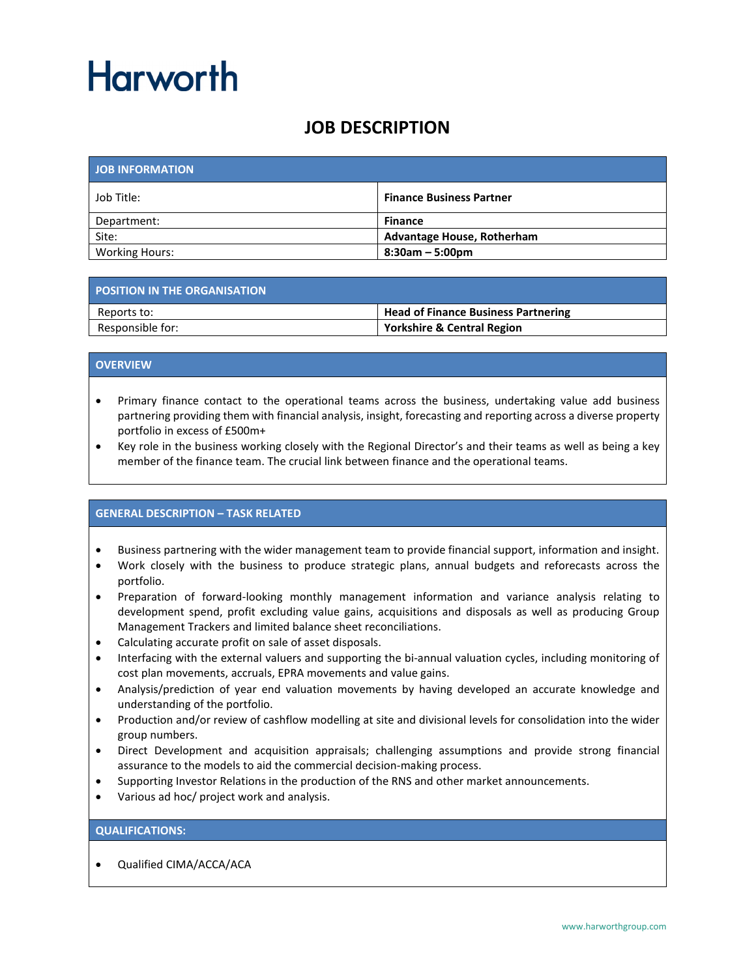## Harworth

### **JOB DESCRIPTION**

| <b>JOB INFORMATION</b> |                                   |
|------------------------|-----------------------------------|
| Job Title:             | <b>Finance Business Partner</b>   |
| Department:            | <b>Finance</b>                    |
| Site:                  | <b>Advantage House, Rotherham</b> |
| <b>Working Hours:</b>  | $8:30am - 5:00pm$                 |

| <b>POSITION IN THE ORGANISATION</b> |                                            |
|-------------------------------------|--------------------------------------------|
| Reports to:                         | <b>Head of Finance Business Partnering</b> |
| Responsible for:                    | <b>Yorkshire &amp; Central Region</b>      |

#### **OVERVIEW**

- Primary finance contact to the operational teams across the business, undertaking value add business partnering providing them with financial analysis, insight, forecasting and reporting across a diverse property portfolio in excess of £500m+
- Key role in the business working closely with the Regional Director's and their teams as well as being a key member of the finance team. The crucial link between finance and the operational teams.

#### **GENERAL DESCRIPTION – TASK RELATED**

- Business partnering with the wider management team to provide financial support, information and insight.
- Work closely with the business to produce strategic plans, annual budgets and reforecasts across the portfolio.
- Preparation of forward-looking monthly management information and variance analysis relating to development spend, profit excluding value gains, acquisitions and disposals as well as producing Group Management Trackers and limited balance sheet reconciliations.
- Calculating accurate profit on sale of asset disposals.
- Interfacing with the external valuers and supporting the bi-annual valuation cycles, including monitoring of cost plan movements, accruals, EPRA movements and value gains.
- Analysis/prediction of year end valuation movements by having developed an accurate knowledge and understanding of the portfolio.
- Production and/or review of cashflow modelling at site and divisional levels for consolidation into the wider group numbers.
- Direct Development and acquisition appraisals; challenging assumptions and provide strong financial assurance to the models to aid the commercial decision-making process.
- Supporting Investor Relations in the production of the RNS and other market announcements.
- Various ad hoc/ project work and analysis.

#### **QUALIFICATIONS:**

• Qualified CIMA/ACCA/ACA